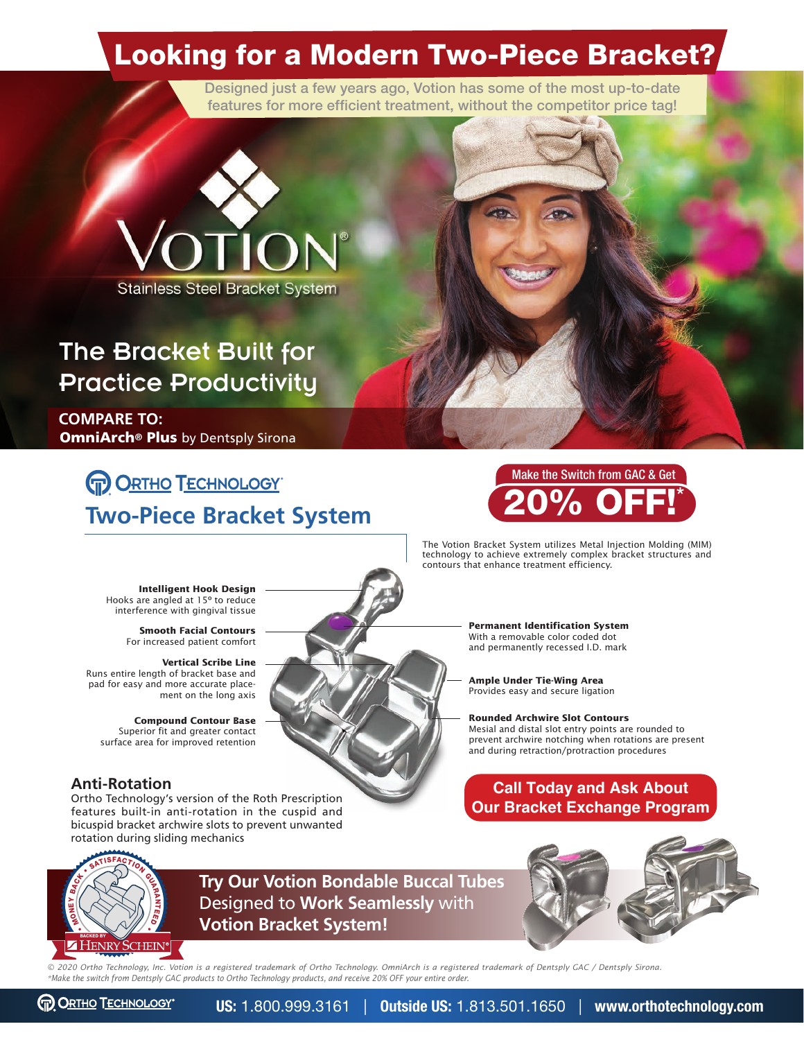### Looking for a Modern Two-Piece Bracket?

Designed just a few years ago, Votion has some of the most up-to-date features for more efficient treatment, without the competitor price tag!



#### The Bracket Built for Practice Productivity

**COMPARE TO:** OmniArch**®** Plus by Dentsply Sirona

#### **PORTHO TECHNOLOGY Two-Piece Bracket System**



The Votion Bracket System utilizes Metal Injection Molding (MIM) technology to achieve extremely complex bracket structures and contours that enhance treatment efficiency.

**Rounded Archwire Slot Contours**

**Permanent Identification System** With a removable color coded dot and permanently recessed I.D. mark

**Ample Under Tie-Wing Area** Provides easy and secure ligation

Mesial and distal slot entry points are rounded to prevent archwire notching when rotations are present and during retraction/protraction procedures

 **Intelligent Hook Design** Hooks are angled at 15º to reduce interference with gingival tissue

> **Smooth Facial Contours**  For increased patient comfort

**Vertical Scribe Line** Runs entire length of bracket base and pad for easy and more accurate placement on the long axis

**Compound Contour Base** Superior fit and greater contact surface area for improved retention

#### **Anti-Rotation**

Ortho Technology's version of the Roth Prescription features built-in anti-rotation in the cuspid and bicuspid bracket archwire slots to prevent unwanted rotation during sliding mechanics



**Try Our Votion Bondable Buccal Tubes** Designed to **Work Seamlessly** with **VOLUME ACTION SERVICE SERVICE SERVICE SERVICE SPACE SERVICE SPACE SERVICE SUPPORT AND SERVICE SUPPORT OF SATISFACTION BEAM FOR A SUPPORT STATE SUPPORT OF STATE SUPPORT OF STATE SUPPORT OF STATE SUPPORT OF STATE SUPPORT OF** 

**Call Today and Ask About Our Bracket Exchange Program**



*© 2020 Ortho Technology, Inc. Votion is a registered trademark of Ortho Technology. OmniArch is a registered trademark of Dentsply GAC / Dentsply Sirona. \*Make the switch from Dentsply GAC products to Ortho Technology products, and receive 20% OFF your entire order.*